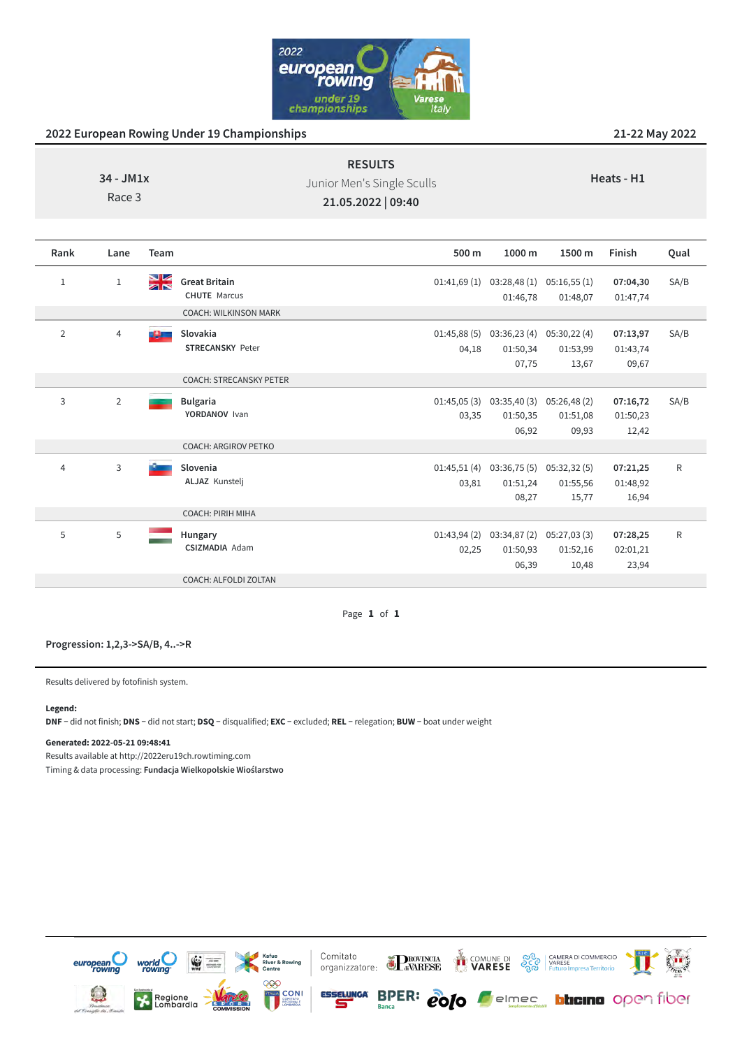

| $34 - JM1x$<br>Race 3 |                |          |                                                                             | <b>RESULTS</b><br>Heats - H1<br>Junior Men's Single Sculls<br>21.05.2022   09:40 |                                                  |                                  |                               |             |
|-----------------------|----------------|----------|-----------------------------------------------------------------------------|----------------------------------------------------------------------------------|--------------------------------------------------|----------------------------------|-------------------------------|-------------|
| Rank                  | Lane           | Team     |                                                                             | 500 m                                                                            | 1000 m                                           | 1500 m                           | Finish                        | Qual        |
| $\mathbf 1$           | $1\,$          | NK<br>AR | <b>Great Britain</b><br><b>CHUTE</b> Marcus<br><b>COACH: WILKINSON MARK</b> | 01:41,69(1)                                                                      | 03:28,48(1)<br>01:46,78                          | 05:16,55(1)<br>01:48,07          | 07:04,30<br>01:47,74          | SA/B        |
| $\overline{2}$        | $\overline{4}$ | <b>B</b> | Slovakia<br><b>STRECANSKY Peter</b>                                         | 04,18                                                                            | $01:45,88(5)$ $03:36,23(4)$<br>01:50,34<br>07,75 | 05:30,22(4)<br>01:53,99<br>13,67 | 07:13,97<br>01:43,74<br>09,67 | SA/B        |
|                       |                |          | <b>COACH: STRECANSKY PETER</b>                                              |                                                                                  |                                                  |                                  |                               |             |
| 3                     | $\overline{2}$ |          | <b>Bulgaria</b><br>YORDANOV Ivan                                            | 01:45,05(3)<br>03,35                                                             | 03:35,40(3)<br>01:50,35<br>06,92                 | 05:26,48(2)<br>01:51,08<br>09,93 | 07:16,72<br>01:50,23<br>12,42 | SA/B        |
|                       |                |          | <b>COACH: ARGIROV PETKO</b>                                                 |                                                                                  |                                                  |                                  |                               |             |
| $\overline{4}$        | 3              |          | Slovenia<br><b>ALJAZ Kunstelj</b>                                           | 01:45,51(4)<br>03,81                                                             | 03:36,75(5)<br>01:51,24<br>08,27                 | 05:32,32(5)<br>01:55,56<br>15,77 | 07:21,25<br>01:48,92<br>16,94 | $\mathsf R$ |
|                       |                |          | <b>COACH: PIRIH MIHA</b>                                                    |                                                                                  |                                                  |                                  |                               |             |
| 5                     | 5              |          | Hungary<br><b>CSIZMADIA Adam</b>                                            | 01:43,94(2)<br>02,25                                                             | 03:34,87(2)<br>01:50,93<br>06,39                 | 05:27,03(3)<br>01:52,16<br>10,48 | 07:28,25<br>02:01,21<br>23,94 | ${\sf R}$   |
|                       |                |          | COACH: ALFOLDI ZOLTAN                                                       |                                                                                  |                                                  |                                  |                               |             |

Page **1** of **1**

### **Progression: 1,2,3->SA/B, 4..->R**

Results delivered by fotofinish system.

### **Legend:**

**DNF** − did not finish; **DNS** − did not start; **DSQ** − disqualified; **EXC** − excluded; **REL** − relegation; **BUW** − boat under weight

#### **Generated: 2022-05-21 09:48:41**

Results available at http://2022eru19ch.rowtiming.com Timing & data processing: **Fundacja Wielkopolskie Wioślarstwo**

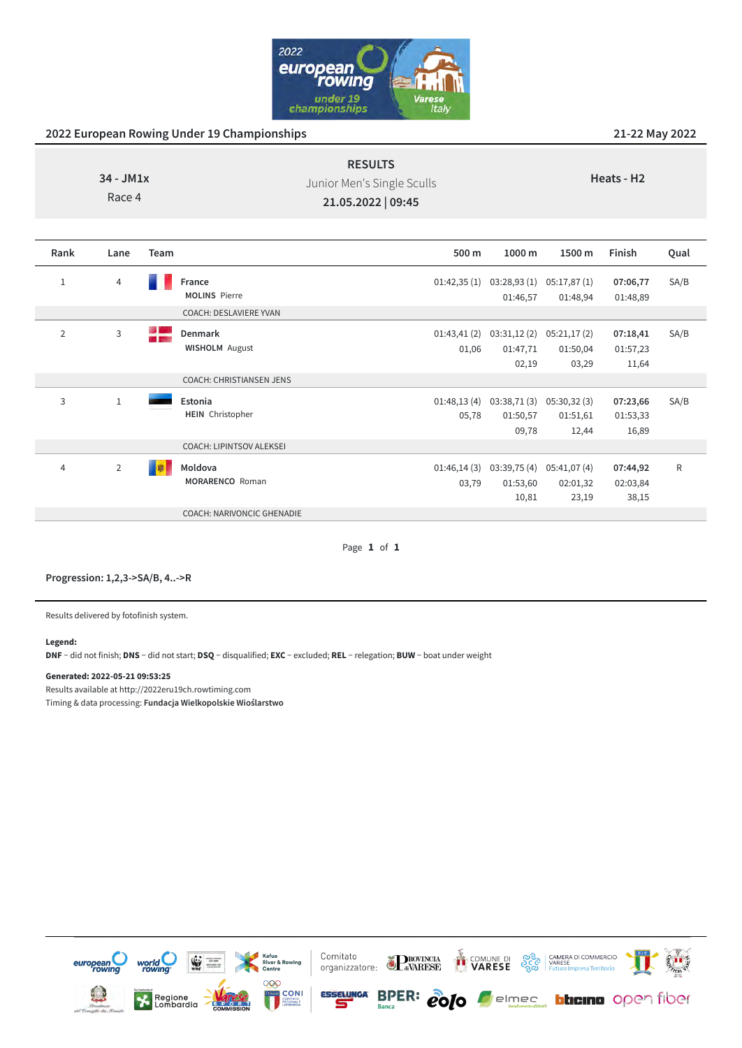

| $34 - JM1x$<br>Race 4 |      |      |                                  | <b>RESULTS</b><br>Junior Men's Single Sculls<br>21.05.2022   09:45 |                                  | Heats - H <sub>2</sub><br>Finish<br>Qual<br>1500 m<br>SA/B<br>05:17,87 (1)<br>07:06,77<br>01:48,94<br>01:48,89 |                               |      |
|-----------------------|------|------|----------------------------------|--------------------------------------------------------------------|----------------------------------|----------------------------------------------------------------------------------------------------------------|-------------------------------|------|
| Rank                  | Lane | Team |                                  | 500 m                                                              | 1000 m                           |                                                                                                                |                               |      |
| $\mathbf{1}$          | 4    |      | France<br><b>MOLINS Pierre</b>   | 01:42,35(1)                                                        | 03:28,93(1)<br>01:46,57          |                                                                                                                |                               |      |
|                       |      |      | COACH: DESLAVIERE YVAN           |                                                                    |                                  |                                                                                                                |                               |      |
| $\overline{2}$        | 3    | ÷    | Denmark<br><b>WISHOLM</b> August | 01:43,41(2)<br>01,06                                               | 03:31,12(2)<br>01:47,71<br>02,19 | 05:21,17 (2)<br>01:50,04<br>03,29                                                                              | 07:18,41<br>01:57,23<br>11,64 | SA/B |

Page **1** of **1**

01:48,13 (4) 03:38,71 (3) 05:30,32 (3)

01:46,14 (3) 03:39,75 (4) 05:41,07 (4)

01:53,60 10,81

01:50,57 09,78 01:51,61 12,44

02:01,32 23,19

**07:23,66** 01:53,33 16,89

**07:44,92** 02:03,84 38,15 SA/B

R

05,78

03,79

### **Progression: 1,2,3->SA/B, 4..->R**

3 1 **Estonia**

4 2 **Moldova** 

Results delivered by fotofinish system.

#### **Legend:**

**DNF** − did not finish; **DNS** − did not start; **DSQ** − disqualified; **EXC** − excluded; **REL** − relegation; **BUW** − boat under weight

COACH: CHRISTIANSEN JENS

COACH: LIPINTSOV ALEKSEI

COACH: NARIVONCIC GHENADIE

**MORARENCO** Roman

**HEIN** Christopher

### **Generated: 2022-05-21 09:53:25**

Results available at http://2022eru19ch.rowtiming.com

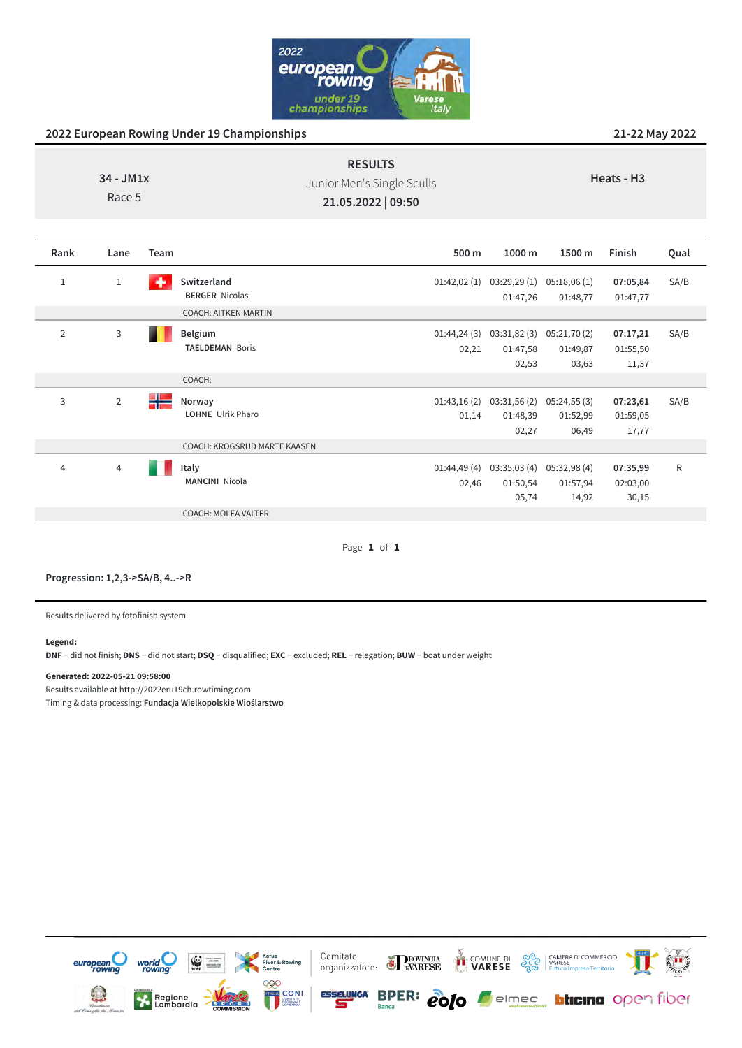

| $34 - JM1x$<br>Race 5 |                |      |                                                                     | <b>RESULTS</b><br>Junior Men's Single Sculls<br>21.05.2022   09:50 |                                  | Heats - H <sub>3</sub>           |                               |      |
|-----------------------|----------------|------|---------------------------------------------------------------------|--------------------------------------------------------------------|----------------------------------|----------------------------------|-------------------------------|------|
| Rank                  | Lane           | Team |                                                                     | 500 m                                                              | 1000 m                           | 1500 m                           | Finish                        | Qual |
| $\mathbf{1}$          | $1\,$          | ٠    | Switzerland<br><b>BERGER Nicolas</b><br><b>COACH: AITKEN MARTIN</b> | 01:42,02(1)                                                        | 03:29,29(1)<br>01:47,26          | 05:18,06(1)<br>01:48,77          | 07:05,84<br>01:47,77          | SA/B |
| $\overline{2}$        | 3              |      | Belgium<br><b>TAELDEMAN Boris</b>                                   | 01:44,24(3)<br>02,21                                               | 03:31,82(3)<br>01:47,58<br>02,53 | 05:21,70(2)<br>01:49,87<br>03,63 | 07:17,21<br>01:55,50<br>11,37 | SA/B |
|                       |                |      | COACH:                                                              |                                                                    |                                  |                                  |                               |      |
| 3                     | $\overline{2}$ | 壬    | Norway<br><b>LOHNE</b> Ulrik Pharo                                  | 01:43,16(2)<br>01,14                                               | 03:31,56(2)<br>01:48,39<br>02,27 | 05:24,55(3)<br>01:52,99<br>06,49 | 07:23,61<br>01:59,05<br>17,77 | SA/B |

Page **1** of **1**

01:44,49 (4) 03:35,03 (4) 05:32,98 (4)

01:50,54 05,74 01:57,94 14,92

**07:35,99** 02:03,00 30,15 R

02,46

| Progression: 1,2,3->SA/B, 4->R |  |
|--------------------------------|--|
|                                |  |

4 4 **Italy**

Results delivered by fotofinish system.

#### **Legend:**

**DNF** − did not finish; **DNS** − did not start; **DSQ** − disqualified; **EXC** − excluded; **REL** − relegation; **BUW** − boat under weight

COACH: KROGSRUD MARTE KAASEN

**MANCINI** Nicola

COACH: MOLEA VALTER

#### **Generated: 2022-05-21 09:58:00**

Results available at http://2022eru19ch.rowtiming.com

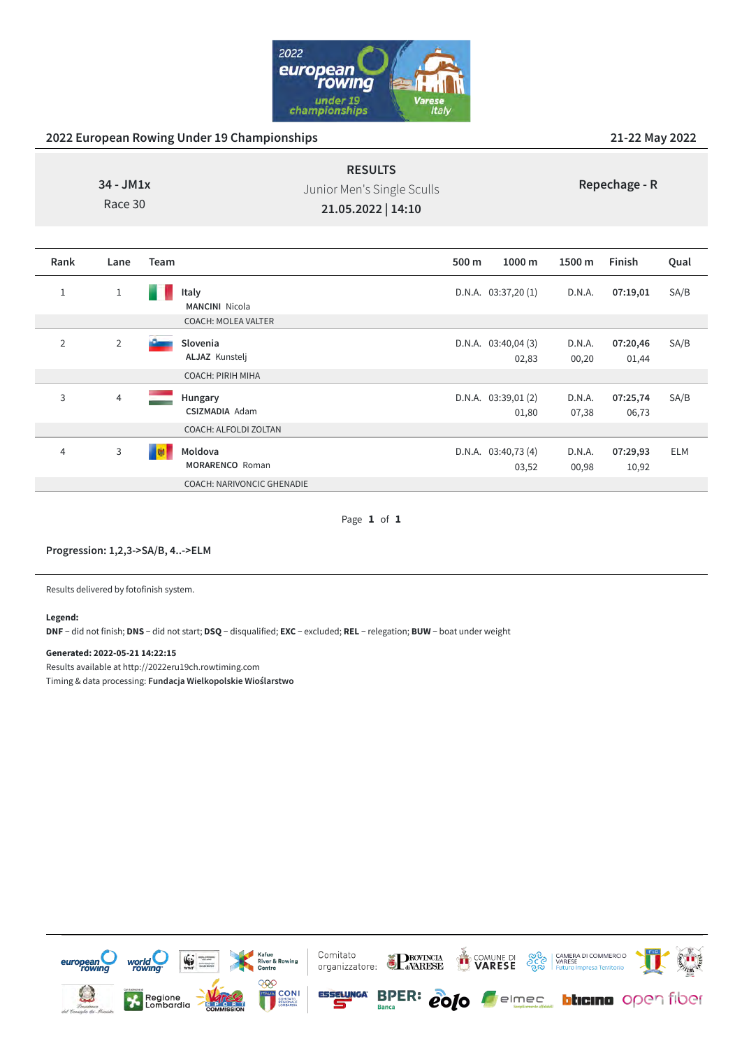

|      | $34 - JM1x$<br>Race 30 | <b>RESULTS</b><br>Junior Men's Single Sculls<br>21.05.2022   14:10 |       |                      |        | Repechage - R |      |  |  |
|------|------------------------|--------------------------------------------------------------------|-------|----------------------|--------|---------------|------|--|--|
| Rank | Lane                   | <b>Team</b>                                                        | 500 m | $1000 \text{ m}$     | 1500 m | Finish        | Qual |  |  |
|      | 1                      | Italy<br><b>MANCINI Nicola</b>                                     |       | D.N.A. $03:37,20(1)$ | D.N.A. | 07:19,01      | SA/B |  |  |

|   |                | <b>COACH: MOLEA VALTER</b>        |                               |                 |                   |            |
|---|----------------|-----------------------------------|-------------------------------|-----------------|-------------------|------------|
| 2 | $\overline{2}$ | Slovenia<br>ALJAZ Kunstelj        | D.N.A. $03:40,04(3)$<br>02,83 | D.N.A.<br>00,20 | 07:20,46<br>01,44 | SA/B       |
|   |                | <b>COACH: PIRIH MIHA</b>          |                               |                 |                   |            |
| 3 | 4              | Hungary<br><b>CSIZMADIA Adam</b>  | D.N.A. $03:39,01(2)$<br>01,80 | D.N.A.<br>07,38 | 07:25,74<br>06,73 | SA/B       |
|   |                | COACH: ALFOLDI ZOLTAN             |                               |                 |                   |            |
| 4 | 3              | Moldova<br><b>MORARENCO</b> Roman | D.N.A. $03:40,73(4)$<br>03,52 | D.N.A.<br>00,98 | 07:29,93<br>10,92 | <b>ELM</b> |
|   |                | <b>COACH: NARIVONCIC GHENADIE</b> |                               |                 |                   |            |

Page **1** of **1**

## **Progression: 1,2,3->SA/B, 4..->ELM**

Results delivered by fotofinish system.

### **Legend:**

**DNF** − did not finish; **DNS** − did not start; **DSQ** − disqualified; **EXC** − excluded; **REL** − relegation; **BUW** − boat under weight

## **Generated: 2022-05-21 14:22:15**

Results available at http://2022eru19ch.rowtiming.com Timing & data processing: **Fundacja Wielkopolskie Wioślarstwo**

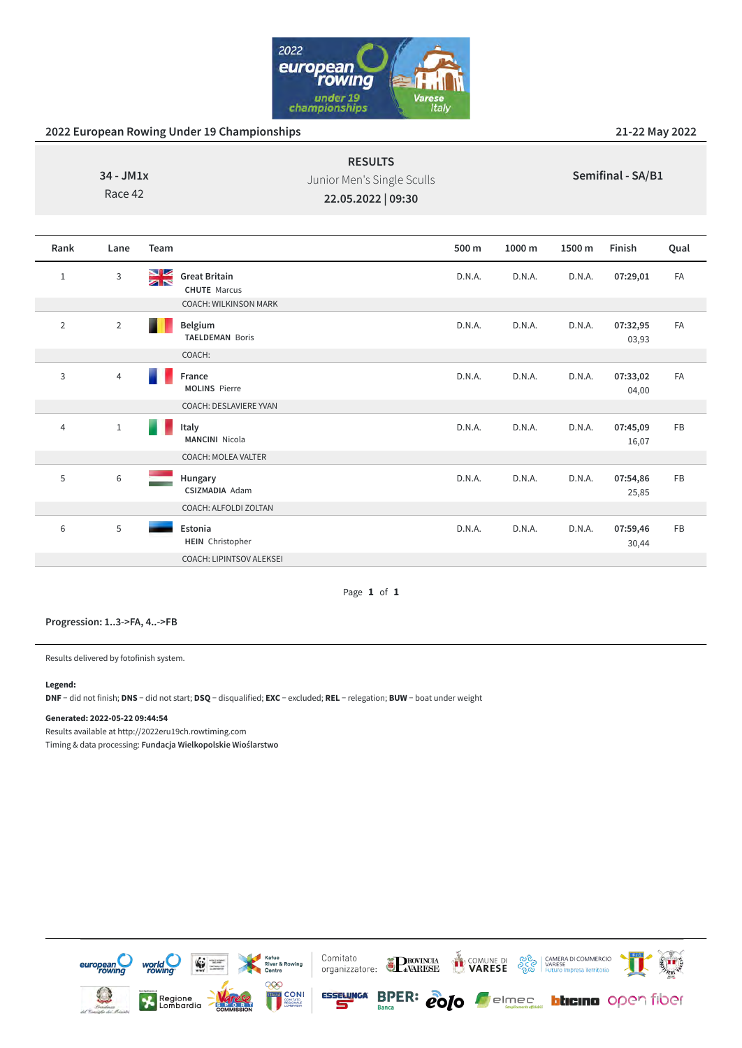

| $34 - JM1x$<br>Race 42 |                |          |                                             | <b>RESULTS</b><br>Junior Men's Single Sculls<br>22.05.2022   09:30 |        | Semifinal - SA/B1 |        |                   |      |
|------------------------|----------------|----------|---------------------------------------------|--------------------------------------------------------------------|--------|-------------------|--------|-------------------|------|
| Rank                   | Lane           | Team     |                                             |                                                                    | 500 m  | 1000 m            | 1500 m | Finish            | Qual |
| $\mathbf{1}$           | 3              | NK<br>AR | <b>Great Britain</b><br><b>CHUTE Marcus</b> |                                                                    | D.N.A. | D.N.A.            | D.N.A. | 07:29,01          | FA   |
|                        |                |          | <b>COACH: WILKINSON MARK</b>                |                                                                    |        |                   |        |                   |      |
| $\overline{2}$         | $\overline{2}$ |          | Belgium<br><b>TAELDEMAN Boris</b>           |                                                                    | D.N.A. | D.N.A.            | D.N.A. | 07:32,95<br>03,93 | FA   |
|                        |                |          | COACH:                                      |                                                                    |        |                   |        |                   |      |
| $\mathsf{3}$           | $\overline{4}$ |          | France<br><b>MOLINS Pierre</b>              |                                                                    | D.N.A. | D.N.A.            | D.N.A. | 07:33,02<br>04,00 | FA   |
|                        |                |          | <b>COACH: DESLAVIERE YVAN</b>               |                                                                    |        |                   |        |                   |      |
| 4                      | $\,1$          |          | Italy<br><b>MANCINI</b> Nicola              |                                                                    | D.N.A. | D.N.A.            | D.N.A. | 07:45,09<br>16,07 | FB   |
|                        |                |          | COACH: MOLEA VALTER                         |                                                                    |        |                   |        |                   |      |
| 5                      | $\,$ 6 $\,$    |          | Hungary<br><b>CSIZMADIA Adam</b>            |                                                                    | D.N.A. | D.N.A.            | D.N.A. | 07:54,86<br>25,85 | FB   |
|                        |                |          | COACH: ALFOLDI ZOLTAN                       |                                                                    |        |                   |        |                   |      |
| $6\,$                  | 5              |          | Estonia<br><b>HEIN</b> Christopher          |                                                                    | D.N.A. | D.N.A.            | D.N.A. | 07:59,46<br>30,44 | FB   |
|                        |                |          | <b>COACH: LIPINTSOV ALEKSEI</b>             |                                                                    |        |                   |        |                   |      |

Page **1** of **1**

**Progression: 1..3->FA, 4..->FB**

Results delivered by fotofinish system.

### **Legend:**

**DNF** − did not finish; **DNS** − did not start; **DSQ** − disqualified; **EXC** − excluded; **REL** − relegation; **BUW** − boat under weight

### **Generated: 2022-05-22 09:44:54**

Results available at http://2022eru19ch.rowtiming.com

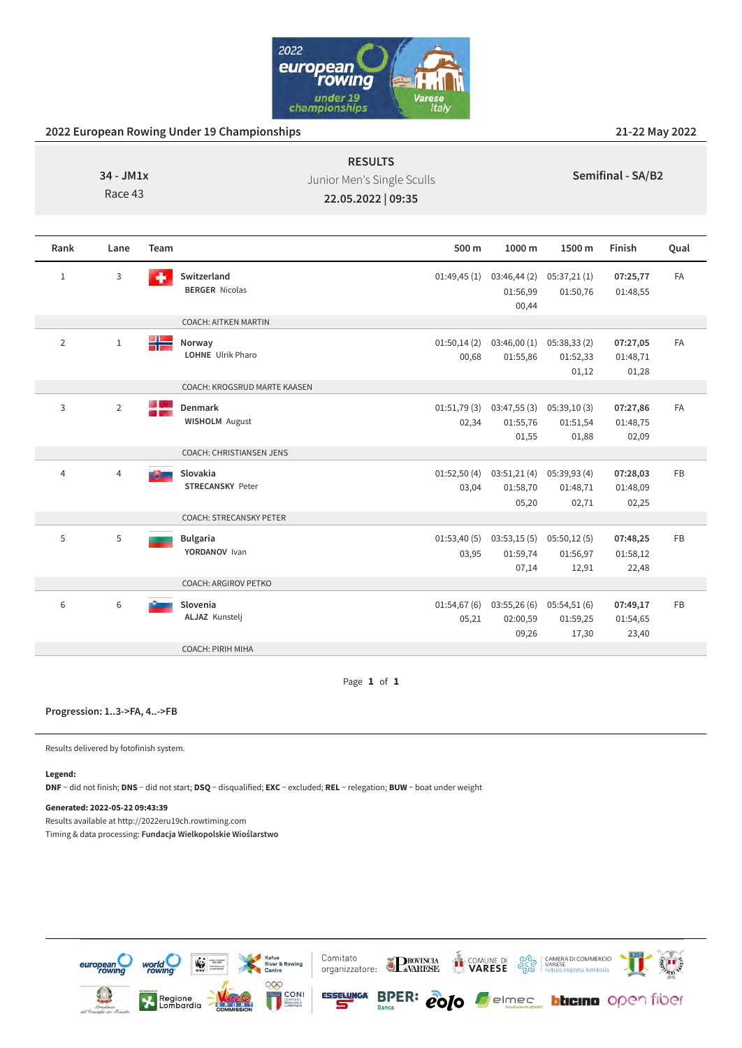

| 34 - JM1x<br>Race 43 |                |      |                                         | <b>RESULTS</b><br>Junior Men's Single Sculls<br>22.05.2022   09:35 | Semifinal - SA/B2                |                                  |                               |           |  |
|----------------------|----------------|------|-----------------------------------------|--------------------------------------------------------------------|----------------------------------|----------------------------------|-------------------------------|-----------|--|
| Rank                 | Lane           | Team |                                         | 500 m                                                              | 1000 m                           | 1500 m                           | Finish                        | Qual      |  |
| $\,1\,$              | $\mathsf{3}$   | ۰    | Switzerland<br><b>BERGER Nicolas</b>    | 01:49,45(1)                                                        | 03:46,44(2)<br>01:56,99<br>00,44 | 05:37,21(1)<br>01:50,76          | 07:25,77<br>01:48,55          | <b>FA</b> |  |
|                      |                |      | <b>COACH: AITKEN MARTIN</b>             |                                                                    |                                  |                                  |                               |           |  |
| $\overline{2}$       | $1\,$          | ÷ E  | Norway<br>LOHNE Ulrik Pharo             | 01:50,14(2)<br>00,68                                               | 03:46,00(1)<br>01:55,86          | 05:38,33(2)<br>01:52,33<br>01,12 | 07:27,05<br>01:48,71<br>01,28 | FA        |  |
|                      |                |      | COACH: KROGSRUD MARTE KAASEN            |                                                                    |                                  |                                  |                               |           |  |
| 3                    | $\overline{2}$ | ╬    | <b>Denmark</b><br><b>WISHOLM</b> August | 01:51,79(3)<br>02,34                                               | 03:47,55(3)<br>01:55,76<br>01,55 | 05:39,10(3)<br>01:51,54<br>01,88 | 07:27,86<br>01:48,75<br>02,09 | FA        |  |
|                      |                |      | COACH: CHRISTIANSEN JENS                |                                                                    |                                  |                                  |                               |           |  |
| $\overline{4}$       | $\overline{4}$ |      | Slovakia<br><b>STRECANSKY Peter</b>     | 01:52,50(4)<br>03,04                                               | 03:51,21(4)<br>01:58,70<br>05,20 | 05:39,93(4)<br>01:48,71<br>02,71 | 07:28,03<br>01:48,09<br>02,25 | FB        |  |
|                      |                |      | COACH: STRECANSKY PETER                 |                                                                    |                                  |                                  |                               |           |  |
| 5                    | 5              |      | <b>Bulgaria</b><br>YORDANOV Ivan        | 01:53,40(5)<br>03,95                                               | 03:53,15(5)<br>01:59,74<br>07,14 | 05:50,12(5)<br>01:56,97<br>12,91 | 07:48,25<br>01:58,12<br>22,48 | FB        |  |
|                      |                |      | <b>COACH: ARGIROV PETKO</b>             |                                                                    |                                  |                                  |                               |           |  |
| 6                    | $\,6$          |      | Slovenia<br>ALJAZ Kunstelj              | 01:54,67(6)<br>05,21                                               | 03:55,26(6)<br>02:00,59<br>09,26 | 05:54,51(6)<br>01:59,25<br>17,30 | 07:49,17<br>01:54,65<br>23,40 | FB        |  |
|                      |                |      | COACH: PIRIH MIHA                       |                                                                    |                                  |                                  |                               |           |  |

Page **1** of **1**

#### **Progression: 1..3->FA, 4..->FB**

Results delivered by fotofinish system.

### **Legend:**

**DNF** − did not finish; **DNS** − did not start; **DSQ** − disqualified; **EXC** − excluded; **REL** − relegation; **BUW** − boat under weight

## **Generated: 2022-05-22 09:43:39**

Results available at http://2022eru19ch.rowtiming.com

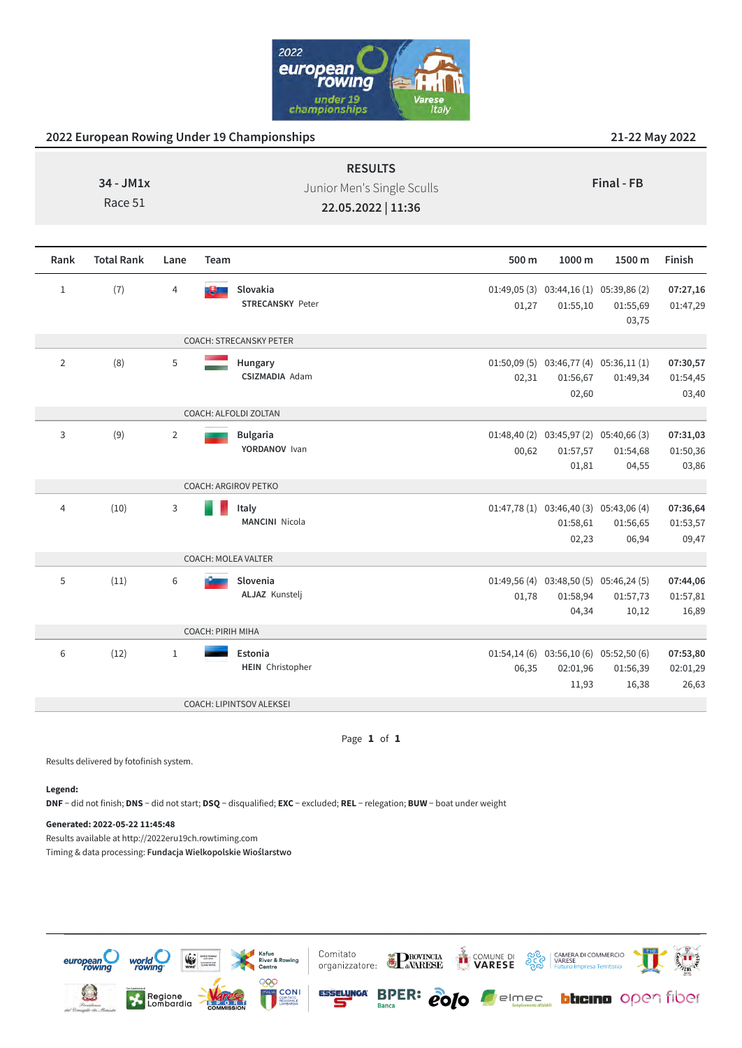

|             | <b>RESULTS</b>             |            |
|-------------|----------------------------|------------|
| $34 - JM1x$ | Junior Men's Single Sculls | Final - FB |
| Race 51     | 22.05.2022   11:36         |            |

| Rank           | <b>Total Rank</b> | Lane           | Team                                | 500 m | 1000 m                                                         | 1500 m            | Finish                        |
|----------------|-------------------|----------------|-------------------------------------|-------|----------------------------------------------------------------|-------------------|-------------------------------|
| $\mathbf{1}$   | (7)               | 4              | Slovakia<br><b>STRECANSKY Peter</b> | 01,27 | 01:49,05 (3) 03:44,16 (1) 05:39,86 (2)<br>01:55,10             | 01:55,69<br>03,75 | 07:27,16<br>01:47,29          |
|                |                   |                | COACH: STRECANSKY PETER             |       |                                                                |                   |                               |
| $\overline{2}$ | (8)               | 5              | Hungary<br><b>CSIZMADIA Adam</b>    | 02,31 | $01:50,09(5)$ $03:46,77(4)$ $05:36,11(1)$<br>01:56,67<br>02,60 | 01:49,34          | 07:30,57<br>01:54,45<br>03,40 |
|                |                   |                | COACH: ALFOLDI ZOLTAN               |       |                                                                |                   |                               |
| 3              | (9)               | $\overline{2}$ | <b>Bulgaria</b><br>YORDANOV Ivan    | 00,62 | $01:48,40(2)$ $03:45,97(2)$ $05:40,66(3)$<br>01:57,57<br>01,81 | 01:54,68<br>04,55 | 07:31,03<br>01:50,36<br>03,86 |
|                |                   |                | <b>COACH: ARGIROV PETKO</b>         |       |                                                                |                   |                               |
| 4              | (10)              | $\mathbf{3}$   | Italy<br><b>MANCINI</b> Nicola      |       | $01:47,78(1)$ $03:46,40(3)$ $05:43,06(4)$<br>01:58,61<br>02,23 | 01:56,65<br>06,94 | 07:36,64<br>01:53,57<br>09,47 |
|                |                   |                | COACH: MOLEA VALTER                 |       |                                                                |                   |                               |
| 5              | (11)              | 6              | Slovenia<br><b>ALJAZ Kunstelj</b>   | 01,78 | 01:49,56 (4) 03:48,50 (5) 05:46,24 (5)<br>01:58,94<br>04,34    | 01:57,73<br>10,12 | 07:44,06<br>01:57,81<br>16,89 |
|                |                   |                | <b>COACH: PIRIH MIHA</b>            |       |                                                                |                   |                               |
| 6              | (12)              | $\mathbf{1}$   | Estonia<br><b>HEIN</b> Christopher  | 06,35 | $01:54,14(6)$ $03:56,10(6)$ $05:52,50(6)$<br>02:01,96<br>11,93 | 01:56,39<br>16,38 | 07:53,80<br>02:01,29<br>26,63 |
|                |                   |                | COACH: LIPINTSOV ALEKSEI            |       |                                                                |                   |                               |

Page **1** of **1**

Results delivered by fotofinish system.

### **Legend:**

**DNF** − did not finish; **DNS** − did not start; **DSQ** − disqualified; **EXC** − excluded; **REL** − relegation; **BUW** − boat under weight

### **Generated: 2022-05-22 11:45:48**

Results available at http://2022eru19ch.rowtiming.com